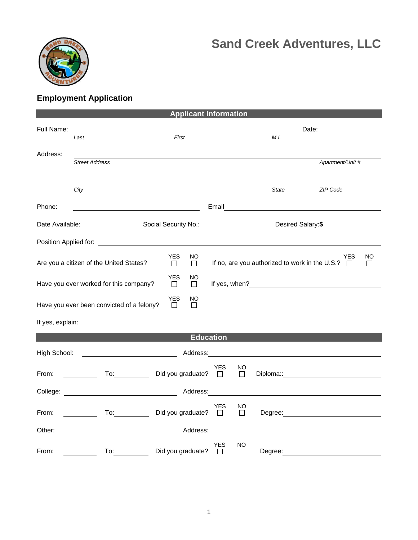



## **Employment Application**

|              |                                                                                                                                                                                                                                | <b>Applicant Information</b>                      |                                        |              |                                                                                                                                                                                                                                |          |
|--------------|--------------------------------------------------------------------------------------------------------------------------------------------------------------------------------------------------------------------------------|---------------------------------------------------|----------------------------------------|--------------|--------------------------------------------------------------------------------------------------------------------------------------------------------------------------------------------------------------------------------|----------|
| Full Name:   |                                                                                                                                                                                                                                |                                                   |                                        |              |                                                                                                                                                                                                                                |          |
|              | Last                                                                                                                                                                                                                           | First                                             |                                        | M.I.         |                                                                                                                                                                                                                                |          |
| Address:     | <b>Street Address</b>                                                                                                                                                                                                          |                                                   |                                        |              | Apartment/Unit #                                                                                                                                                                                                               |          |
|              | City                                                                                                                                                                                                                           |                                                   |                                        | <b>State</b> | ZIP Code                                                                                                                                                                                                                       |          |
| Phone:       |                                                                                                                                                                                                                                | <u> 1980 - Johann Barbara, martxa alemaniar a</u> |                                        |              |                                                                                                                                                                                                                                |          |
|              | Date Available: Note that the set of the set of the set of the set of the set of the set of the set of the set of the set of the set of the set of the set of the set of the set of the set of the set of the set of the set o |                                                   |                                        |              | Desired Salary:\$                                                                                                                                                                                                              |          |
|              |                                                                                                                                                                                                                                |                                                   |                                        |              |                                                                                                                                                                                                                                |          |
|              | Are you a citizen of the United States?                                                                                                                                                                                        | <b>YES</b><br>NO.<br>$\Box$<br>$\Box$             |                                        |              | YES<br>If no, are you authorized to work in the U.S.? $\Box$                                                                                                                                                                   | NO<br>ĪΙ |
|              | Have you ever worked for this company?                                                                                                                                                                                         | <b>YES</b><br>ΝO<br>$\Box$<br>$\Box$              |                                        |              |                                                                                                                                                                                                                                |          |
|              | Have you ever been convicted of a felony?                                                                                                                                                                                      | <b>YES</b><br>NO<br>П<br>П                        |                                        |              |                                                                                                                                                                                                                                |          |
|              |                                                                                                                                                                                                                                |                                                   |                                        |              |                                                                                                                                                                                                                                |          |
|              |                                                                                                                                                                                                                                | <b>Education</b>                                  |                                        |              |                                                                                                                                                                                                                                |          |
| High School: |                                                                                                                                                                                                                                | Address:                                          |                                        |              |                                                                                                                                                                                                                                |          |
| From:        | $\mathsf{To:}\qquad \qquad \qquad$<br><u>and the state</u>                                                                                                                                                                     | Did you graduate? $\Box$                          | <b>YES</b><br>NO<br>$\Box$             |              | Diploma:: experience and the contract of the contract of the contract of the contract of the contract of the contract of the contract of the contract of the contract of the contract of the contract of the contract of the c |          |
|              |                                                                                                                                                                                                                                | Address:                                          |                                        |              |                                                                                                                                                                                                                                |          |
| From:        | $\overline{a}$<br><u>and a strong to the strong of the strong strong strong strong strong strong strong strong strong strong strong</u>                                                                                        | Did you graduate? $\square$                       | YES<br>ΝO<br>$\Box$                    |              | Degree: <u>_______________________________</u>                                                                                                                                                                                 |          |
| Other:       | <u> 1980 - Johann Barn, mars eta bainar eta idazlea (</u>                                                                                                                                                                      |                                                   |                                        |              |                                                                                                                                                                                                                                |          |
| From:        | To:                                                                                                                                                                                                                            | Did you graduate?                                 | <b>YES</b><br><b>NO</b><br>П<br>$\Box$ | Degree:      |                                                                                                                                                                                                                                |          |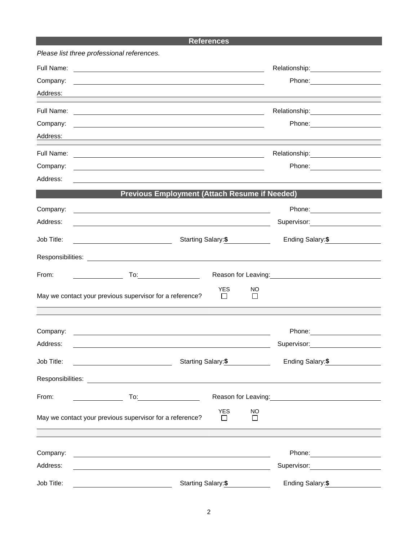## **References**

|                                    | Please list three professional references.                                                                                                                                                                                                |                       |                     |                                                                                                                                                                                                                                  |
|------------------------------------|-------------------------------------------------------------------------------------------------------------------------------------------------------------------------------------------------------------------------------------------|-----------------------|---------------------|----------------------------------------------------------------------------------------------------------------------------------------------------------------------------------------------------------------------------------|
| Full Name:<br>Company:<br>Address: | <u> 1989 - Johann Stoff, deutscher Stoff, der Stoff, der Stoff, der Stoff, der Stoff, der Stoff, der Stoff, der S</u><br>and the control of the control of the control of the control of the control of the control of the control of the |                       |                     |                                                                                                                                                                                                                                  |
| Full Name:                         | and the control of the control of the control of the control of the control of the control of the control of the                                                                                                                          |                       |                     | Relationship: Network of the American Assembly Press, and the Assembly Press, and the Assembly Press, and the                                                                                                                    |
| Company:                           |                                                                                                                                                                                                                                           |                       |                     |                                                                                                                                                                                                                                  |
| Address:                           |                                                                                                                                                                                                                                           |                       |                     |                                                                                                                                                                                                                                  |
| Full Name:                         |                                                                                                                                                                                                                                           |                       |                     |                                                                                                                                                                                                                                  |
| Company:                           |                                                                                                                                                                                                                                           |                       |                     | Phone: ___________________                                                                                                                                                                                                       |
| Address:                           |                                                                                                                                                                                                                                           |                       |                     |                                                                                                                                                                                                                                  |
|                                    | <b>Previous Employment (Attach Resume if Needed)</b>                                                                                                                                                                                      |                       |                     |                                                                                                                                                                                                                                  |
| Company:                           |                                                                                                                                                                                                                                           |                       |                     |                                                                                                                                                                                                                                  |
| Address:                           |                                                                                                                                                                                                                                           |                       |                     | Supervisor: ____________________                                                                                                                                                                                                 |
| Job Title:                         | Starting Salary:\$                                                                                                                                                                                                                        |                       |                     | Ending Salary: \$                                                                                                                                                                                                                |
|                                    |                                                                                                                                                                                                                                           |                       |                     |                                                                                                                                                                                                                                  |
| From:                              |                                                                                                                                                                                                                                           |                       |                     | Reason for Leaving:<br>Notation of the United States and States and States and States and States and States and States and States and States and States and States and States and States and States and States and States and St |
|                                    | May we contact your previous supervisor for a reference?                                                                                                                                                                                  | <b>YES</b>            | NO<br>$\Box$        |                                                                                                                                                                                                                                  |
|                                    |                                                                                                                                                                                                                                           |                       |                     |                                                                                                                                                                                                                                  |
| Company:                           |                                                                                                                                                                                                                                           |                       |                     | Phone: ______________________                                                                                                                                                                                                    |
| Address:                           |                                                                                                                                                                                                                                           |                       |                     | Supervisor: <u>___________________</u>                                                                                                                                                                                           |
| Job Title:                         | <u> 1980 - Johann Barbara, martin a</u>                                                                                                                                                                                                   | Starting Salary: \$   |                     | Ending Salary:\$                                                                                                                                                                                                                 |
|                                    |                                                                                                                                                                                                                                           |                       |                     |                                                                                                                                                                                                                                  |
| From:                              |                                                                                                                                                                                                                                           |                       |                     | Reason for Leaving:<br><u>Neason</u> for Leaving:                                                                                                                                                                                |
|                                    | May we contact your previous supervisor for a reference?                                                                                                                                                                                  | <b>YES</b><br>$\perp$ | <b>NO</b><br>$\Box$ |                                                                                                                                                                                                                                  |
| Company:                           |                                                                                                                                                                                                                                           |                       |                     |                                                                                                                                                                                                                                  |
| Address:                           |                                                                                                                                                                                                                                           |                       |                     | Supervisor: ___________________                                                                                                                                                                                                  |
| Job Title:                         | Starting Salary: \$                                                                                                                                                                                                                       |                       |                     | Ending Salary: \$                                                                                                                                                                                                                |